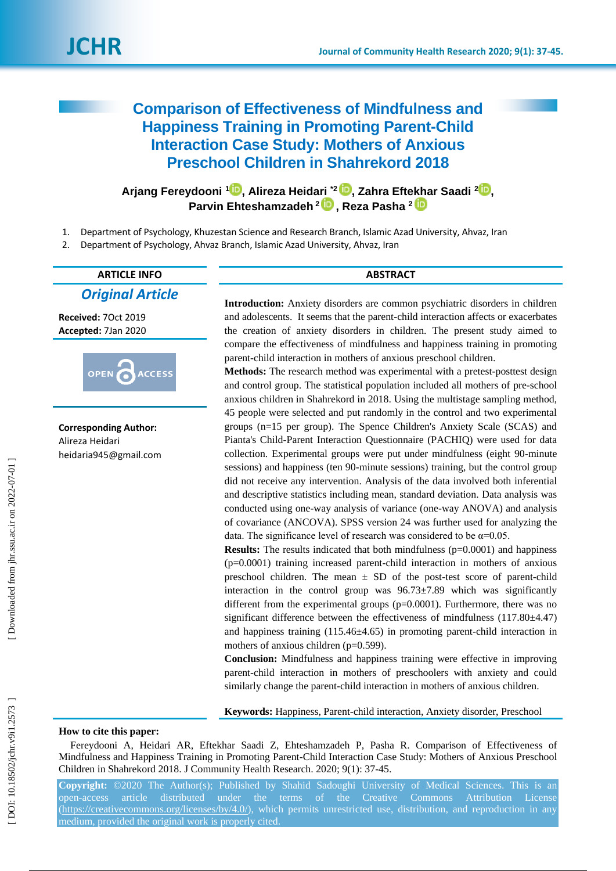# **Comparison of Effectiveness of Mindfulness and Happiness Training in Promoting Parent -Child Interaction Case Study: Mothers of Anxious Preschool Children in Shahrekord 2018**

**Arjang Fereydooni 1 [,](https://orcid.org/0000-0003-0923-7015) Alireza Heida[ri](https://orcid.org/0000-0003-3391-1882) \* 2 , Zahra Efte[kha](https://orcid.org/0000-0002-2163-880X)r Saadi 2 [,](https://orcid.org/0000-0002-4599-602X) Parvin Ehteshamzadeh 2 , Reza Pasha 2**

- 1 . Department of Psychology, Khuzestan Science and Research Branch, Islamic Azad University, Ahvaz, Iran
- 2 . Department of Psychology, Ahvaz Branch, Islamic Azad University, Ahvaz, Iran

# **ARTICLE INFO ABSTRACT**

*Original Article*

**Received:**  7Oct 201 9 **Accepted:** 7Jan 2020



**Corresponding Author:** Alireza Heidari heidaria945@gmail.com

**Introduction:** Anxiety disorders are common psychiatric disorders in children and adolescents. It seems that the parent -child interaction affects or exacerbates the creation of anxiety disorders in children. The present study aimed to compare the effectiveness of mindfulness and happiness training in promoting parent -child interaction in mothers of anxious preschool children.

Methods: The research method was experimental with a pretest-posttest design and control group. The statistical population included all mothers of pre -school anxious children in Shahrekord in 2018. Using the multistage sampling method, 45 people were selected and put randomly in the control and two experimental groups (n=15 per group). The Spence Children's Anxiety Scale (SCAS) and Pianta's Child -Parent Interaction Questionnaire (PACHIQ) were used for data collection. Experimental groups were put under mindfulness (eight 90-minute sessions) and happiness (ten 90 -minute sessions) training, but the control group did not receive any intervention. Analysis of the data involved both inferential and descriptive statistics including mean, standard deviation. Data analysis was conducted using one -way analysis of variance (one -way ANOVA) and analysis of covariance (ANCOVA). SPSS version 24 was further used for analyzing the data. The significance level of research was considered to be  $\alpha=0.05$ .

**Results:** The results indicated that both mindfulness (p=0.0001) and happiness (p=0.0001) training increased parent -child interaction in mothers of anxious preschool children. The mean  $\pm$  SD of the post-test score of parent-child interaction in the control group was  $96.73 \pm 7.89$  which was significantly different from the experimental groups (p=0.0001). Furthermore, there was no significant difference between the effectiveness of mindfulness  $(117.80\pm4.47)$ and happiness training (115.46±4.65) in promoting parent-child interaction in mothers of anxious children (p=0.599).

**Conclusion:** Mindfulness and happiness training were effective in improving parent -child interaction in mothers of preschoolers with anxiety and could similarly change the parent-child interaction in mothers of anxious children.

**Keywords:** Happiness, Parent -child interaction, Anxiety disorder, Preschool

#### **How to cite this paper:**

Fereydooni A, Heidari AR, Eftekhar Saadi Z, Ehteshamzadeh P, Pasha R. Comparison of Effectiveness of Mindfulness and Happiness Training in Promoting Parent -Child Interaction Case Study: Mothers of Anxious Preschool Children in Shahrekord 2018. J Community Health Research. 2020; 9 ( 1): 37 -45.

Copyright: ©2020 The Author(s); Published by Shahid Sadoughi University of Medical Sciences. This is an open-access article distributed under the terms of the Creative Commons Attribution License [\(https://creativecommons.org/licenses/by/4.0/\)](https://creativecommons.org/licenses/by/4.0/), which permits unrestricted use, distribution, and reproduction in any medium, provided the original work is properly cited.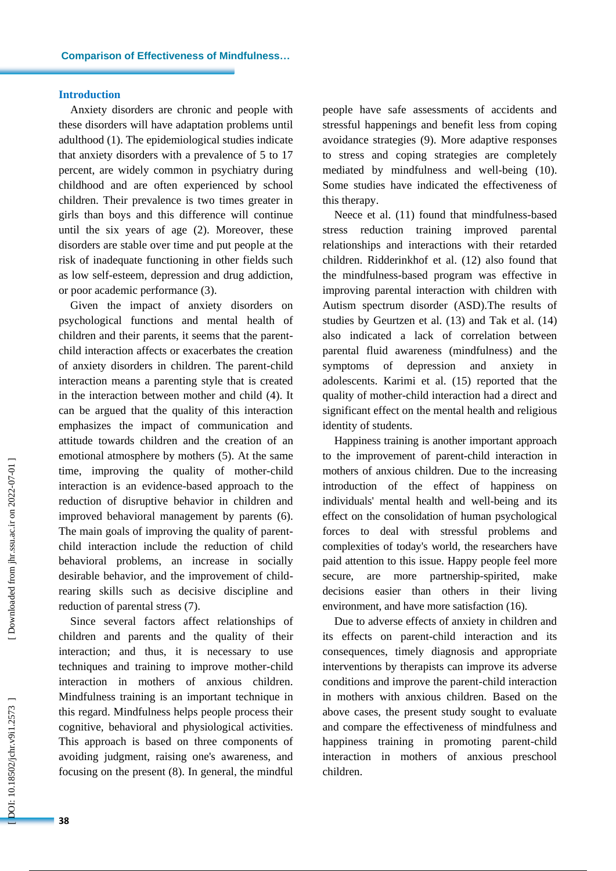#### **Introduction**

Anxiety disorders are chronic and people with these disorders will have adaptation problems until adulthood (1). The epidemiological studies indicate that anxiety disorders with a prevalence of 5 to 17 percent, are widely common in psychiatry during childhood and are often experienced by school children. Their prevalence is two times greater in girls than boys and this difference will continue until the six years of age ( 2 ). Moreover, these disorders are stable over time and put people at the risk of inadequate functioning in other fields such as low self-esteem, depression and drug addiction, or poor academic performance ( 3 ) .

Given the impact of anxiety disorders on psychological functions and mental health of children and their parents, it seems that the parent child interaction affects or exacerbates the creation of anxiety disorders in children. The parent -child interaction means a parenting style that is created in the interaction between mother and child ( 4 ). It can be argued that the quality of this interaction emphasizes the impact of communication and attitude towards children and the creation of an emotional atmosphere by mothers ( 5 ). At the same time, improving the quality of mother -child interaction is an evidence -based approach to the reduction of disruptive behavior in children and improved behavioral management by parents ( 6 ). The main goals of improving the quality of parent child interaction include the reduction of child behavioral problems , an increase in socially desirable behavior, and the improvement of child rearing skills such as decisive discipline and reduction of parental stress (7).

Since several factors affect relationships of children and parents and the quality of their interaction; and thus, it is necessary to use techniques and training to improve mother -child interaction in mothers of anxious children. Mindfulness training is an important technique in this regard. Mindfulness helps people process their cognitive, behavioral and physiological activities. This approach is based on three components of avoiding judgment, raising one's awareness, and focusing on the present ( 8 ). In general, the mindful people have safe assessments of accidents and stressful happenings and benefit less from coping avoidance strategies ( 9 ). More adaptive responses to stress and coping strategies are completely mediated by mindfulness and well -being (10 ). Some studies have indicated the effectiveness of this therapy.

Neece et al. (11) found that mindfulness -based stress reduction training improved parental relationships and interactions with their retarded children. Ridderinkhof et al. (12 ) also found that the mindfulness -based program was effective in improving parental interaction with children with Autism spectrum disorder (ASD).The results of studies by Geurtzen et al. (13) and Tak et al. (14) also indicated a lack of correlation between parental fluid awareness (mindfulness) and the symptoms of depression and anxiety in adolescents. Karimi et al. (15) reported that the quality of mother -child interaction had a direct and significant effect on the mental health and religious identity of students.

Happiness training is another important approach to the improvement of parent -child interaction in mothers of anxious children. Due to the increasing introduction of the effect of happiness on individuals' mental health and well -being and its effect on the consolidation of human psychological forces to deal with stressful problems and complexities of today's world, the researchers have paid attention to this issue. Happy people feel more secure, are more partnership-spirited, make decisions easier than others in their living environment, and have more satisfaction (16).

Due to adverse effects of anxiety in children and its effects on parent -child interaction and its consequences, timely diagnosis and appropriate interventions by therapists can improve its adverse conditions and improve the parent -child interaction in mothers with anxious children. Based on the above cases, the present study sought to evaluate and compare the effectiveness of mindfulness and happiness training in promoting parent -child interaction in mothers of anxious preschool children.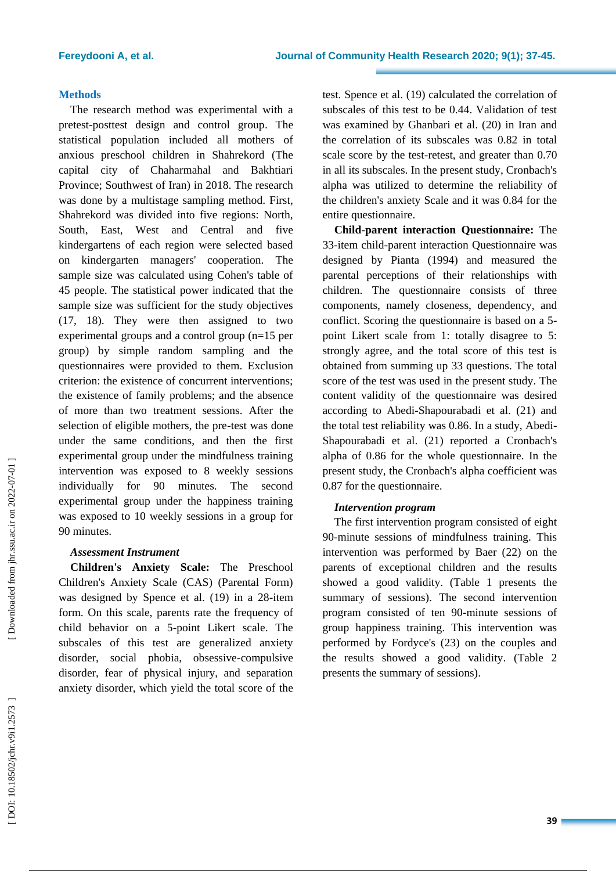# **Method s**

The research method was experimental with a pretest -posttest design and control group. The statistical population included all mothers of anxious preschool children in Shahrekord (The capital city of Chaharmahal and Bakhtiari Province; Southwest of Iran) in 201 8. The research was done by a multistage sampling method. First, Shahrekord was divided into five regions: North, South, East, West and Central and five kindergartens of each region were selected based on kindergarten managers' cooperation. The sample size was calculated using Cohen's table of 45 people. The statistical power indicated that the sample size was sufficient for the study objectives (17, 18). They were then assigned to two experimental groups and a control group (n=15 per group) by simple random sampling and the questionnaires were provided to them. Exclusion criterion: the existence of concurrent interventions; the existence of family problems; and the absence of more than two treatment sessions. After the selection of eligible mothers, the pre -test was done under the same conditions, and then the first experimental group under the mindfulness training intervention was exposed to 8 weekly sessions individually for 90 minutes. The second experimental group under the happiness training was exposed to 10 weekly sessions in a group for 90 minutes.

### *Assessment Instrument*

**Children's Anxiety Scale:** The Preschool Children's Anxiety Scale (CAS) (Parental Form) was designed by Spence et al. (19) in a 28-item form. On this scale, parents rate the frequency of child behavior on a 5 -point Likert scale. The subscales of this test are generalized anxiety disorder, social phobia, obsessive -compulsive disorder, fear of physical injury, and separation anxiety disorder, which yield the total score of the

test. Spence et al. ( 1 9) calculated the correlation of subscales of this test to be 0.44. Validation of test was examined by Ghanbari et al. (20) in Iran and the correlation of its subscales was 0.82 in total scale score by the test-retest, and greater than  $0.70$ in all its subscales. In the present study, Cronbach's alpha was utilized to determine the reliability of the children's anxiety Scale and it was 0.84 for the entire questionnaire.

**Child -parent interaction Questionnaire:** The 33 -item child -parent interaction Questionnaire was designed by Pianta (1994) and measured the parental perceptions of their relationships with children. The questionnaire consists of three components, namely closeness, dependency, and conflict. Scoring the questionnaire is based on a 5 point Likert scale from 1: totally disagree to 5: strongly agree, and the total score of this test is obtained from summing up 33 questions. The total score of the test was used in the present study. The content validity of the questionnaire was desired according to Abedi -Shapourabadi et al. (21) and the total test reliability was 0.86. In a study, Abedi - Shapourabadi et al. (21) reported a Cronbach's alpha of 0.86 for the whole questionnaire. In the present study, the Cronbach's alpha coefficient was 0.87 for the questionnaire .

# *Intervention program*

The first intervention program consisted of eight 90 -minute sessions of mindfulness training. This intervention was performed by Baer (22) on the parents of exceptional children and the results showed a good validity. (Table 1 presents the summary of sessions). The second intervention program consisted of ten 90 -minute sessions of group happiness training. This intervention was performed by Fordyce's (23) on the couples and the results showed a good validity. (Table 2 presents the summary of sessions) .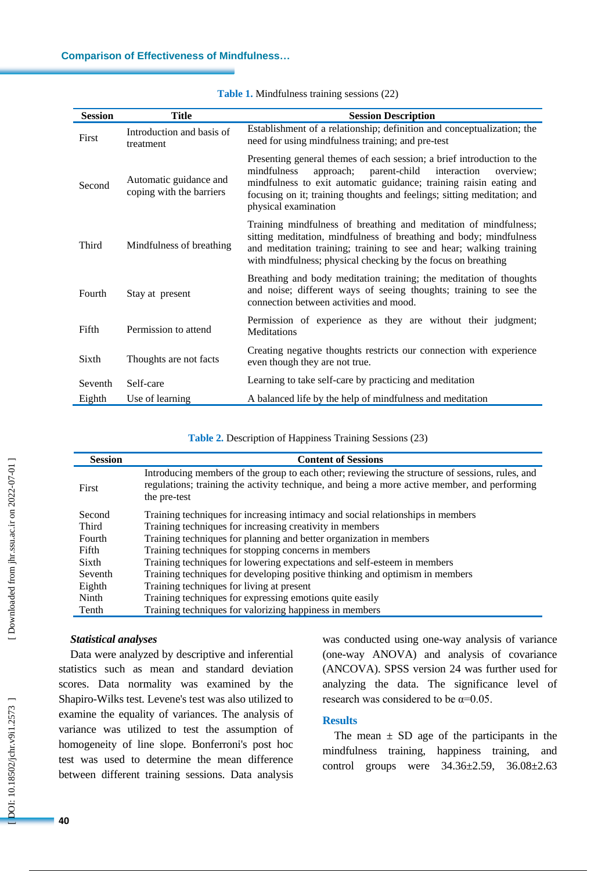| <b>Session</b> | <b>Title</b>                                       | <b>Session Description</b>                                                                                                                                                                                                                                                                                              |
|----------------|----------------------------------------------------|-------------------------------------------------------------------------------------------------------------------------------------------------------------------------------------------------------------------------------------------------------------------------------------------------------------------------|
| First          | Introduction and basis of<br>treatment             | Establishment of a relationship; definition and conceptualization; the<br>need for using mindfulness training; and pre-test                                                                                                                                                                                             |
| Second         | Automatic guidance and<br>coping with the barriers | Presenting general themes of each session; a brief introduction to the<br>mindfulness<br>parent-child<br>approach;<br>interaction<br>overview:<br>mindfulness to exit automatic guidance; training raisin eating and<br>focusing on it; training thoughts and feelings; sitting meditation; and<br>physical examination |
| Third          | Mindfulness of breathing                           | Training mindfulness of breathing and meditation of mindfulness;<br>sitting meditation, mindfulness of breathing and body; mindfulness<br>and meditation training; training to see and hear; walking training<br>with mindfulness; physical checking by the focus on breathing                                          |
| Fourth         | Stay at present                                    | Breathing and body meditation training; the meditation of thoughts<br>and noise; different ways of seeing thoughts; training to see the<br>connection between activities and mood.                                                                                                                                      |
| Fifth          | Permission to attend                               | Permission of experience as they are without their judgment;<br>Meditations                                                                                                                                                                                                                                             |
| Sixth          | Thoughts are not facts                             | Creating negative thoughts restricts our connection with experience<br>even though they are not true.                                                                                                                                                                                                                   |
| Seventh        | Self-care                                          | Learning to take self-care by practicing and meditation                                                                                                                                                                                                                                                                 |
| Eighth         | Use of learning                                    | A balanced life by the help of mindfulness and meditation                                                                                                                                                                                                                                                               |

Table 1. Mindfulness training sessions (22)

Table 2. Description of Happiness Training Sessions (23)

| <b>Session</b> | <b>Content of Sessions</b>                                                                                                                                                                                      |
|----------------|-----------------------------------------------------------------------------------------------------------------------------------------------------------------------------------------------------------------|
| First          | Introducing members of the group to each other; reviewing the structure of sessions, rules, and<br>regulations; training the activity technique, and being a more active member, and performing<br>the pre-test |
| Second         | Training techniques for increasing intimacy and social relationships in members                                                                                                                                 |
| Third          | Training techniques for increasing creativity in members                                                                                                                                                        |
| Fourth         | Training techniques for planning and better organization in members                                                                                                                                             |
| Fifth          | Training techniques for stopping concerns in members                                                                                                                                                            |
| Sixth          | Training techniques for lowering expectations and self-esteem in members                                                                                                                                        |
| Seventh        | Training techniques for developing positive thinking and optimism in members                                                                                                                                    |
| Eighth         | Training techniques for living at present                                                                                                                                                                       |
| Ninth          | Training techniques for expressing emotions quite easily                                                                                                                                                        |
| Tenth          | Training techniques for valorizing happiness in members                                                                                                                                                         |

# *Statistical analyses*

Data were analyzed by descriptive and inferential statistics such as mean and standard deviation scores. Data normality was examined by the Shapiro -Wilks test. Levene's test was also utilized to examine the equality of variances. The analysis of variance was utilized to test the assumption of homogeneity of line slope. Bonferroni's post hoc test was used to determine the mean difference between different training sessions. Data analysis

was conducted using one -way analysis of variance (one -way ANOVA) and analysis of covariance (ANCOVA). SPSS version 24 was further used for analyzing the data. The significance level of research was considered to be  $\alpha$ =0.05.

#### **Results**

The mean  $\pm$  SD age of the participants in the mindfulness training, happiness training , and control groups were 34.36±2.59, 36.08±2.63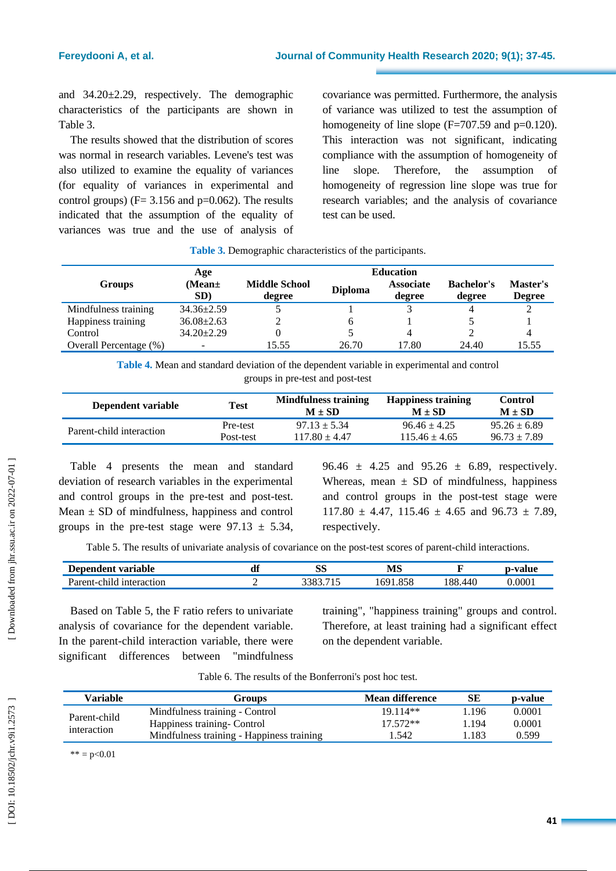and 34.20±2.29 , respectively. The demographic characteristics of the participants are shown in Table 3.

The results showed that the distribution of scores was normal in research variables. Levene's test was also utilized to examine the equality of variances (for equality of variances in experimental and control groups) ( $F = 3.156$  and  $p = 0.062$ ). The results indicated that the assumption of the equality of variances was true and the use of analysis of covariance was permitted. Furthermore, the analysis of variance was utilized to test the assumption of homogeneity of line slope  $(F=707.59$  and  $p=0.120$ ). This interaction was not significant, indicating compliance with the assumption of homogeneity of line slope. Therefore, the assumption of homogeneity of regression line slope was true for research variables; and the analysis of covariance test can be used.

|                        | Age                | <b>Education</b>               |                |                            |                             |                           |  |
|------------------------|--------------------|--------------------------------|----------------|----------------------------|-----------------------------|---------------------------|--|
| <b>Groups</b>          | (Mean $\pm$<br>SD) | <b>Middle School</b><br>degree | <b>Diploma</b> | <b>Associate</b><br>degree | <b>Bachelor's</b><br>degree | Master's<br><b>Degree</b> |  |
| Mindfulness training   | $34.36 \pm 2.59$   |                                |                |                            |                             |                           |  |
| Happiness training     | $36.08 \pm 2.63$   |                                | h              |                            |                             |                           |  |
| Control                | $34.20 \pm 2.29$   |                                |                | 4                          |                             |                           |  |
| Overall Percentage (%) |                    | 15.55                          | 26.70          | 17.80                      | 24.40                       | 15.55                     |  |

**Table 3.** Demographic characteristics of the participants.

**Table 4.** Mean and standard deviation of the dependent variable in experimental and control groups in pre -test and post -test

| Dependent variable       | <b>Test</b> | Mindfulness training<br>$M + SD$ | <b>Happiness training</b><br>$M + SD$ | Control<br>$M \pm SD$ |
|--------------------------|-------------|----------------------------------|---------------------------------------|-----------------------|
| Parent-child interaction | Pre-test    | $97.13 + 5.34$                   | $96.46 + 4.25$                        | $95.26 \pm 6.89$      |
|                          | Post-test   | $117.80 + 4.47$                  | $115.46 + 4.65$                       | $96.73 \pm 7.89$      |

Table 4 presents the mean and standard deviation of research variables in the experimental and control groups in the pre -test and post -test. Mean  $\pm$  SD of mindfulness, happiness and control groups in the pre-test stage were  $97.13 \pm 5.34$ , 96.46  $\pm$  4.25 and 95.26  $\pm$  6.89, respectively. Whereas, mean  $\pm$  SD of mindfulness, happiness and control groups in the post -test stage were  $117.80 \pm 4.47$ ,  $115.46 \pm 4.65$  and  $96.73 \pm 7.89$ . respectively.

Table 5. The results of univariate analysis of covariance on the post -test scores of parent -child interactions.

| -<br>.<br>variable<br>$\sim$ | uı | $\alpha$<br>ЮD | . ТГ<br><b>IVID</b> |      | ------ |
|------------------------------|----|----------------|---------------------|------|--------|
| ы                            |    | . .            | n                   | ، ٥٥ | 000    |

Based on Table 5, the F ratio refers to univariate analysis of covariance for the dependent variable. In the parent -child interaction variable, there were significant differences between "mindfulness

training", "happiness training" groups and control. Therefore, at least training had a significant effect on the dependent variable.

| Variable     | <b>Groups</b>                             | Mean difference | SЕ    | p-value |
|--------------|-------------------------------------------|-----------------|-------|---------|
| Parent-child | Mindfulness training - Control            | $19.114**$      | 1.196 | 0.0001  |
| interaction  | Happiness training Control                | $17.572**$      | 1.194 | 0.0001  |
|              | Mindfulness training - Happiness training | 1.542           | .183  | 0.599   |

Table 6. The results of the Bonferroni's post hoc test.

 $*** = p < 0.01$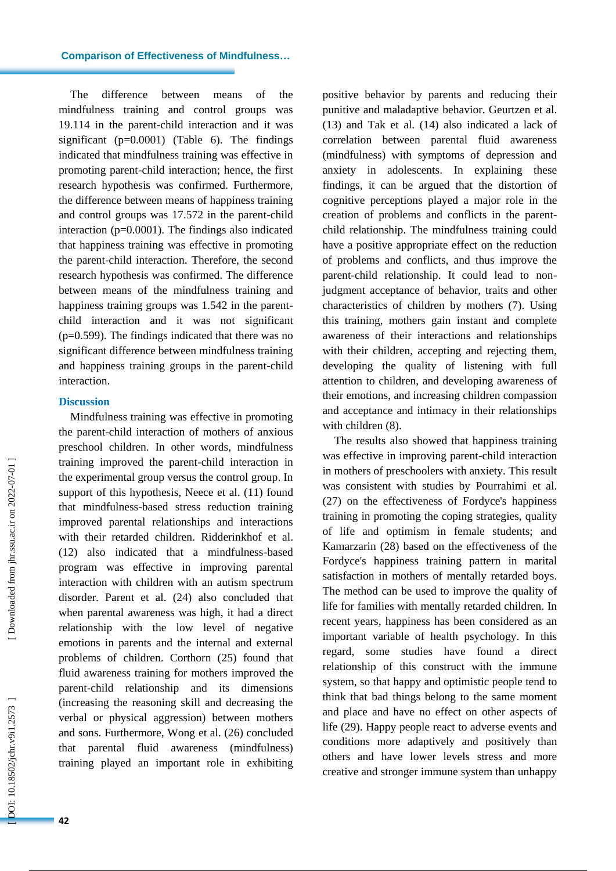#### **Comparison of Effectiveness of Mindfulness …**

The difference between means of the mindfulness training and control groups was 19.114 in the parent -child interaction and it was significant (p=0.0001) (Table 6). The findings indicated that mindfulness training was effective in promoting parent -child interaction; hence, the first research hypothesis was confirmed. Furthermore, the difference between means of happiness training and control groups was 17.572 in the parent -child interaction (p=0.0001). The findings also indicated that happiness training was effective in promoting the parent -child interaction. Therefore, the second research hypothesis was confirmed. The difference between means of the mindfulness training and happiness training groups was 1.542 in the parentchild interaction and it was not significant (p=0.599). The finding s indicated that there was no significant difference between mindfulness training and happiness training groups in the parent -child interaction.

#### **Discussion**

Mindfulness training was effective in promoting the parent -child interaction of mothers of anxious preschool children. In other words, mindfulness training improved the parent -child interaction in the experimental group versus the control group. In support of this hypothesis, Neece et al.  $(11)$  found that mindfulness -based stress reduction training improved parental relationships and interactions with their retarded children. Ridderinkhof et al. (12) also indicated that a mindfulness -based program was effective in improving parental interaction with children with an autism spectrum disorder. Parent et al. (24) also concluded that when parental awareness was high, it had a direct relationship with the low level of negative emotions in parents and the internal and external problems of children. Corthorn (25) found that fluid awareness training for mothers improved the parent -child relationship and its dimensions (increasing the reasoning skill and decreasing the verbal or physical aggression) between mothers and sons. Furthermore, Wong et al. (26) concluded that parental fluid awareness (mindfulness) training played an important role in exhibiting

positive behavior by parents and reducing their punitive and maladaptive behavior. Geurtzen et al. (13) and Tak et al. (14) also indicated a lack of correlation between parental fluid awareness (mindfulness) with symptoms of depression and anxiety in adolescents. In explaining these findings, it can be argued that the distortion of cognitive perceptions played a major role in the creation of problems and conflicts in the parent child relationship. The mindfulness training could have a positive appropriate effect on the reduction of problems and conflicts, and thus improve the parent -child relationship. It could lead to non judgment acceptance of behavior, traits and other characteristics of children by mothers (7). Using this training, mothers gain instant and complete awareness of their interactions and relationships with their children, accepting and rejecting them, developing the quality of listening with full attention to children, and developing awareness of their emotions, and increasing children compassion and acceptance and intimacy in their relationships with children  $(8)$ .

The results also showed that happiness training was effective in improving parent -child interaction in mothers of preschoolers with anxiety. This result was consistent with studies by Pourrahimi et al. (27) on the effectiveness of Fordyce's happiness training in promoting the coping strategies, quality of life and optimism in female students; and Kamarzarin (28) based on the effectiveness of the Fordyce's happiness training pattern in marital satisfaction in mothers of mentally retarded boys. The method can be used to improve the quality of life for families with mentally retarded children. In recent years, happiness has been considered as an important variable of health psychology. In this regard, some studies have found a direct relationship of this construct with the immune system, so that happy and optimistic people tend to think that bad things belong to the same moment and place and have no effect on other aspects of life (29). Happy people react to adverse events and conditions more adaptively and positively than others and have lower levels stress and more creative and stronger immune system than unhappy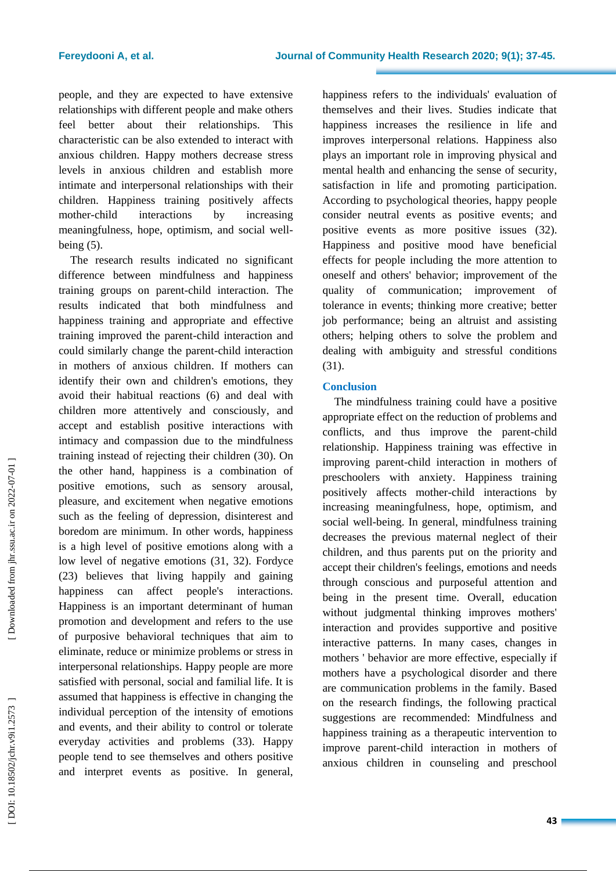people, and they are expected to have extensive relationships with different people and make others feel better about their relationships. This characteristic can be also extended to interact with anxious children. Happy mothers decrease stress levels in anxious children and establish more intimate and interpersonal relationships with their children. Happiness training positively affects mother-child interactions by increasing meaningfulness, hope, optimism, and social well being (5).

The research results indicated no significant difference between mindfulness and happiness training groups on parent -child interaction. The results indicated that both mindfulness and happiness training and appropriate and effective training improved the parent -child interaction and could similarly change the parent -child interaction in mothers of anxious children. If mothers can identify their own and children's emotions, they avoid their habitual reactions (6) and deal with children more attentively and consciously, and accept and establish positive interactions with intimacy and compassion due to the mindfulness training instead of rejecting their children (30). On the other hand, happiness is a combination of positive emotions, such as sensory arousal, pleasure , and excitement when negative emotions such as the feeling of depression, disinterest and boredom are minimum. In other words, happiness is a high level of positive emotions along with a low level of negative emotions (3 1, 3 2). Fordyce (23) believes that living happily and gaining happiness can affect people's interactions. Happiness is an important determinant of human promotion and development and refers to the use of purposive behavioral techniques that aim to eliminate, reduce or minimize problems or stress in interpersonal relationships. Happy people are more satisfied with personal, social and familial life. It is assumed that happiness is effective in changing the individual perception of the intensity of emotions and events, and their ability to control or tolerate everyday activities and problems (33). Happy people tend to see themselves and others positive and interpret events as positive. In general,

happiness refers to the individuals' evaluation of themselves and their lives. Studies indicate that happiness increases the resilience in life and improves interpersonal relations. Happiness also plays an important role in improving physical and mental health and enhancing the sense of security, satisfaction in life and promoting participation. According to psychological theories, happy people consider neutral events as positive events; and positive events as more positive issues (32). Happiness and positive mood have beneficial effects for people including the more attention to oneself and others' behavior; improvement of the quality of communication; improvement of tolerance in events; thinking more creative; better job performance; being an altruist and assisting others; helping others to solve the problem and dealing with ambiguity and stressful conditions (31).

# **Conclusion**

The mindfulness training could have a positive appropriate effect on the reduction of problems and conflicts, and thus improve the parent -child relationship. Happiness training was effective in improving parent -child interaction in mothers of preschoolers with anxiety. Happiness training positively affects mother -child interactions by increasing meaningfulness, hope, optimism, and social well -being. In general, mindfulness training decreases the previous maternal neglect of their children, and thus parents put on the priority and accept their children's feelings, emotions and needs through conscious and purposeful attention and being in the present time. Overall, education without judgmental thinking improves mothers' interaction and provides supportive and positive interactive patterns. In many cases, changes in mothers ' behavior are more effective, especially if mothers have a psychological disorder and there are communication problems in the family. Based on the research findings, the following practical suggestions are recommended: Mindfulness and happiness training as a therapeutic intervention to improve parent -child interaction in mothers of anxious children in counseling and preschool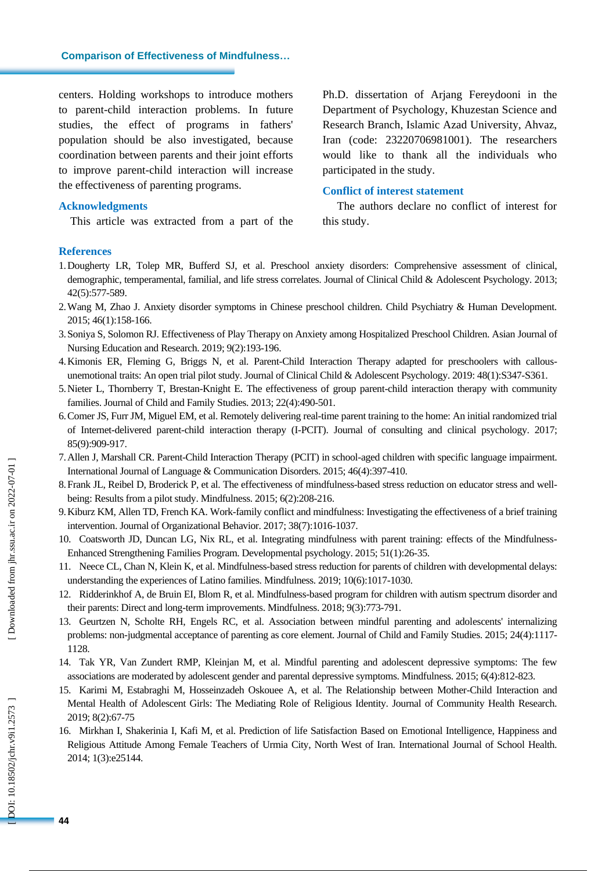centers. Holding workshops to introduce mothers to parent -child interaction problems. In future studies, the effect of programs in fathers' population should be also investigated, because coordination between parents and their joint efforts to improve parent -child interaction will increase the effectiveness of parenting programs .

#### **Acknowledgments**

This article was extracted from a part of the

Ph.D. dissertation of Arjang Fereydooni in the Department of Psychology, Khuzestan Science and Research Branch, Islamic Azad University, Ahvaz, Iran (code: 23220706981001 ). The researchers would like to thank all the individuals who participated in the study.

#### **Conflict of interest statement**

The authors declare no conflict of interest for this study .

#### **References**

- 1.Dougherty LR, Tolep MR, Bufferd SJ, et al. Preschool anxiety disorders: Comprehensive assessment of clinical, demographic, temperamental, familial, and life stress correlates. Journal of Clinical Child & Adolescent Psychology. 2013; 42(5):577 -589.
- 2 .Wang M, Zhao J. Anxiety disorder symptoms in Chinese preschool children. Child Psychiatry & Human Development. 2015; 46(1):158 -166.
- 3 .Soniya S, Solomon RJ. Effectiveness of Play Therapy on Anxiety among Hospitalized Preschool Children. Asian Journal of Nursing Education and Research. 2019; 9(2):193 -196.
- 4 .Kimonis ER, Fleming G, Briggs N, et al. Parent -Child Interaction Therapy adapted for preschoolers with callous unemotional traits: An open trial pilot study. Journal of Clinical Child & Adolescent Psychology. 2019: 48(1):S347 -S361.
- 5 .Nieter L, Thornberry T, Brestan -Knight E. The effectiveness of group parent -child interaction therapy with community families. Journal of Child and Family Studies. 2013; 22(4):490 -501.
- 6 .Comer JS, Furr JM, Miguel EM, et al. Remotely delivering real -time parent training to the home: An initial randomized trial of Internet -delivered parent -child interaction therapy (I -PCIT). Journal of consulting and clinical psychology. 2017; 85(9):909 -917.
- 7 .Allen J, Marshall CR. Parent -Child Interaction Therapy (PCIT) in school -aged children with specific language impairment. International Journal of Language & Communication Disorders. 2015; 46(4):397 -410.
- 8. Frank JL, Reibel D, Broderick P, et al. The effectiveness of mindfulness-based stress reduction on educator stress and wellbeing: Results from a pilot study. Mindfulness. 2015; 6(2):208 -216.
- 9 .Kiburz KM, Allen TD, French KA. Work -family conflict and mindfulness: Investigating the effectiveness of a brief training intervention. Journal of Organizational Behavior. 2017; 38(7):1016 -1037.
- 10 . Coatsworth JD, Duncan LG, Nix RL, et al. Integrating mindfulness with parent training: effects of the Mindfulness - Enhanced Strengthening Families Program. Developmental psychology. 2015; 51(1):26 -35.
- 11 . Neece CL, Chan N, Klein K, et al. Mindfulness -based stress reduction for parents of children with developmental delays: understanding the experiences of Latino families. Mindfulness. 2019; 10(6):1017 -1030.
- 12 . Ridderinkhof A, de Bruin EI, Blom R, et al. Mindfulness -based program for children with autism spectrum disorder and their parents: Direct and long -term improvements. Mindfulness. 2018; 9(3):773 -791.
- 13 . Geurtzen N, Scholte RH, Engels RC, et al. Association between mindful parenting and adolescents' internalizing problems: non -judgmental acceptance of parenting as core element. Journal of Child and Family Studies. 2015; 24(4):1117 - 1128.
- 14. Tak YR, Van Zundert RMP, Kleinjan M, et al. Mindful parenting and adolescent depressive symptoms: The few associations are moderated by adolescent gender and parental depressive symptoms. Mindfulness. 2015; 6(4):812-82
- 15 . Karimi M, Estabraghi M, Hosseinzadeh Oskouee A, et al. The Relationship between Mother -Child Interaction and Mental Health of Adolescent Girls: The Mediating Role of Religious Identity. Journal of Community Health Research. 2019; 8(2):67 -75
- 16 . Mirkhan I, Shakerinia I, Kafi M, et al. Prediction of life Satisfaction Based on Emotional Intelligence, Happiness and Religious Attitude Among Female Teachers of Urmia City, North West of Iran. International Journal of School Health. 2014; 1(3):e25144.